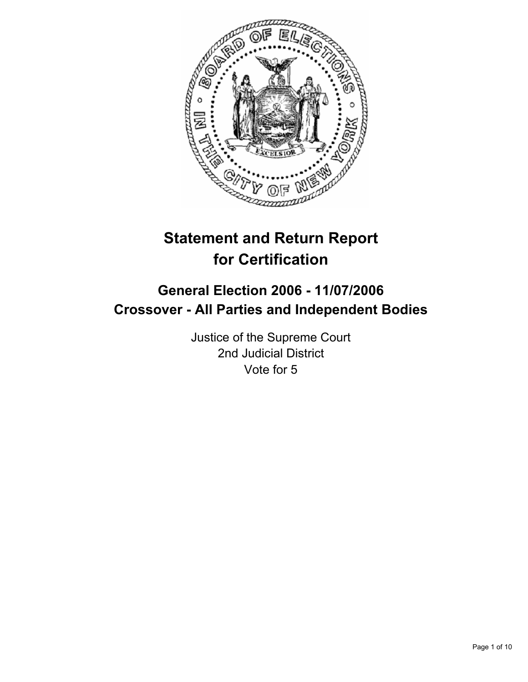

# **Statement and Return Report for Certification**

# **General Election 2006 - 11/07/2006 Crossover - All Parties and Independent Bodies**

Justice of the Supreme Court 2nd Judicial District Vote for 5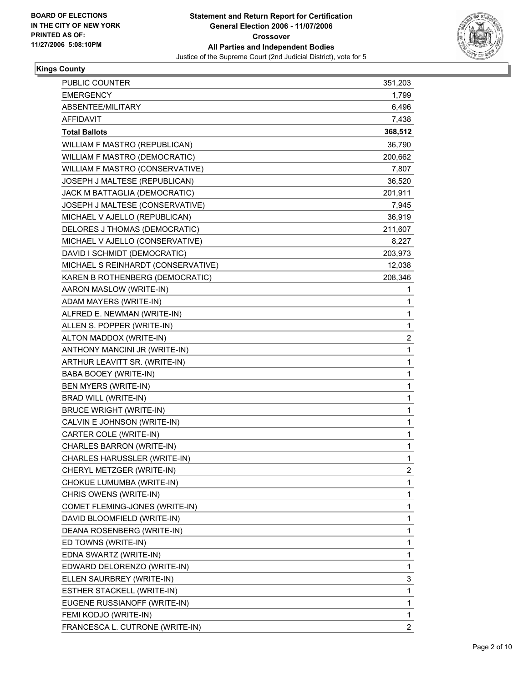

#### **Kings County**

| PUBLIC COUNTER                     | 351,203                 |  |
|------------------------------------|-------------------------|--|
| <b>EMERGENCY</b>                   | 1,799                   |  |
| ABSENTEE/MILITARY                  | 6,496                   |  |
| <b>AFFIDAVIT</b>                   | 7,438                   |  |
| <b>Total Ballots</b>               | 368,512                 |  |
| WILLIAM F MASTRO (REPUBLICAN)      | 36,790                  |  |
| WILLIAM F MASTRO (DEMOCRATIC)      | 200,662                 |  |
| WILLIAM F MASTRO (CONSERVATIVE)    | 7,807                   |  |
| JOSEPH J MALTESE (REPUBLICAN)      | 36,520                  |  |
| JACK M BATTAGLIA (DEMOCRATIC)      | 201,911                 |  |
| JOSEPH J MALTESE (CONSERVATIVE)    | 7,945                   |  |
| MICHAEL V AJELLO (REPUBLICAN)      | 36,919                  |  |
| DELORES J THOMAS (DEMOCRATIC)      | 211,607                 |  |
| MICHAEL V AJELLO (CONSERVATIVE)    | 8,227                   |  |
| DAVID I SCHMIDT (DEMOCRATIC)       | 203,973                 |  |
| MICHAEL S REINHARDT (CONSERVATIVE) | 12,038                  |  |
| KAREN B ROTHENBERG (DEMOCRATIC)    | 208,346                 |  |
| AARON MASLOW (WRITE-IN)            | 1                       |  |
| ADAM MAYERS (WRITE-IN)             | 1                       |  |
| ALFRED E. NEWMAN (WRITE-IN)        | 1                       |  |
| ALLEN S. POPPER (WRITE-IN)         | 1                       |  |
| ALTON MADDOX (WRITE-IN)            | $\overline{\mathbf{c}}$ |  |
| ANTHONY MANCINI JR (WRITE-IN)      | 1                       |  |
| ARTHUR LEAVITT SR. (WRITE-IN)      | 1                       |  |
| BABA BOOEY (WRITE-IN)              | 1                       |  |
| BEN MYERS (WRITE-IN)               | 1                       |  |
| BRAD WILL (WRITE-IN)               | 1                       |  |
| <b>BRUCE WRIGHT (WRITE-IN)</b>     | 1                       |  |
| CALVIN E JOHNSON (WRITE-IN)        | 1                       |  |
| CARTER COLE (WRITE-IN)             | 1                       |  |
| CHARLES BARRON (WRITE-IN)          | 1                       |  |
| CHARLES HARUSSLER (WRITE-IN)       | 1                       |  |
| CHERYL METZGER (WRITE-IN)          | 2                       |  |
| CHOKUE LUMUMBA (WRITE-IN)          | 1                       |  |
| CHRIS OWENS (WRITE-IN)             | 1                       |  |
| COMET FLEMING-JONES (WRITE-IN)     | 1                       |  |
| DAVID BLOOMFIELD (WRITE-IN)        | 1                       |  |
| DEANA ROSENBERG (WRITE-IN)         | 1                       |  |
| ED TOWNS (WRITE-IN)                | 1                       |  |
| EDNA SWARTZ (WRITE-IN)             | 1                       |  |
| EDWARD DELORENZO (WRITE-IN)        | 1                       |  |
| ELLEN SAURBREY (WRITE-IN)          | 3                       |  |
| ESTHER STACKELL (WRITE-IN)         | 1                       |  |
| EUGENE RUSSIANOFF (WRITE-IN)       | 1                       |  |
| FEMI KODJO (WRITE-IN)              | 1                       |  |
| FRANCESCA L. CUTRONE (WRITE-IN)    | $\overline{2}$          |  |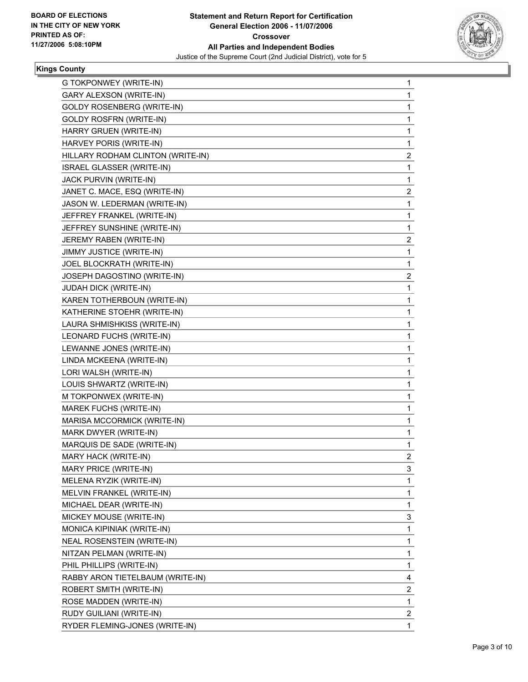

#### **Kings County**

| G TOKPONWEY (WRITE-IN)            | 1                       |
|-----------------------------------|-------------------------|
| GARY ALEXSON (WRITE-IN)           | 1                       |
| <b>GOLDY ROSENBERG (WRITE-IN)</b> | 1                       |
| <b>GOLDY ROSFRN (WRITE-IN)</b>    | 1                       |
| HARRY GRUEN (WRITE-IN)            | 1                       |
| HARVEY PORIS (WRITE-IN)           | $\mathbf{1}$            |
| HILLARY RODHAM CLINTON (WRITE-IN) | $\overline{\mathbf{c}}$ |
| ISRAEL GLASSER (WRITE-IN)         | 1                       |
| JACK PURVIN (WRITE-IN)            | $\mathbf{1}$            |
| JANET C. MACE, ESQ (WRITE-IN)     | $\overline{\mathbf{c}}$ |
| JASON W. LEDERMAN (WRITE-IN)      | 1                       |
| JEFFREY FRANKEL (WRITE-IN)        | $\mathbf{1}$            |
| JEFFREY SUNSHINE (WRITE-IN)       | 1                       |
| JEREMY RABEN (WRITE-IN)           | 2                       |
| JIMMY JUSTICE (WRITE-IN)          | 1                       |
| JOEL BLOCKRATH (WRITE-IN)         | 1                       |
| JOSEPH DAGOSTINO (WRITE-IN)       | 2                       |
| JUDAH DICK (WRITE-IN)             | 1                       |
| KAREN TOTHERBOUN (WRITE-IN)       | 1                       |
| KATHERINE STOEHR (WRITE-IN)       | 1                       |
| LAURA SHMISHKISS (WRITE-IN)       | 1                       |
| LEONARD FUCHS (WRITE-IN)          | 1                       |
| LEWANNE JONES (WRITE-IN)          | 1                       |
| LINDA MCKEENA (WRITE-IN)          | 1                       |
| LORI WALSH (WRITE-IN)             | 1                       |
| LOUIS SHWARTZ (WRITE-IN)          | 1                       |
| M TOKPONWEX (WRITE-IN)            | 1                       |
| MAREK FUCHS (WRITE-IN)            | 1                       |
| MARISA MCCORMICK (WRITE-IN)       | 1                       |
| MARK DWYER (WRITE-IN)             | 1                       |
| MARQUIS DE SADE (WRITE-IN)        | 1                       |
| MARY HACK (WRITE-IN)              | $\overline{2}$          |
| MARY PRICE (WRITE-IN)             | 3                       |
| MELENA RYZIK (WRITE-IN)           | 1                       |
| MELVIN FRANKEL (WRITE-IN)         | 1                       |
| MICHAEL DEAR (WRITE-IN)           | 1                       |
| MICKEY MOUSE (WRITE-IN)           | 3                       |
| MONICA KIPINIAK (WRITE-IN)        | 1                       |
| NEAL ROSENSTEIN (WRITE-IN)        | 1                       |
| NITZAN PELMAN (WRITE-IN)          | 1                       |
| PHIL PHILLIPS (WRITE-IN)          | 1                       |
| RABBY ARON TIETELBAUM (WRITE-IN)  | 4                       |
| ROBERT SMITH (WRITE-IN)           | $\overline{\mathbf{c}}$ |
| ROSE MADDEN (WRITE-IN)            | 1                       |
| RUDY GUILIANI (WRITE-IN)          | $\overline{\mathbf{c}}$ |
| RYDER FLEMING-JONES (WRITE-IN)    | 1                       |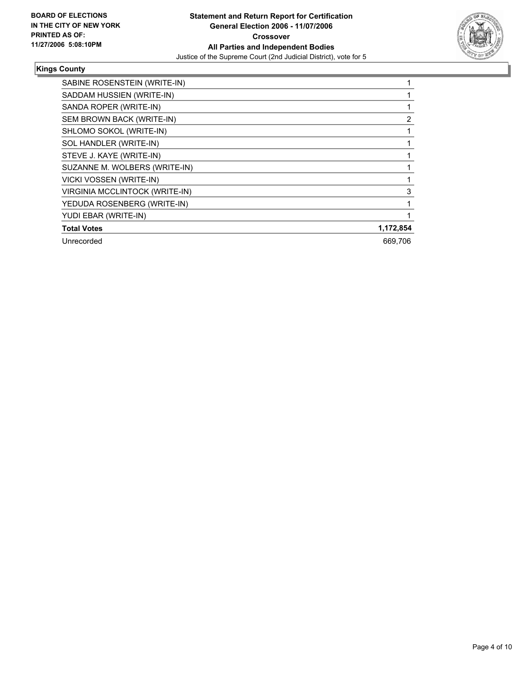

#### **Kings County**

| SABINE ROSENSTEIN (WRITE-IN)   |           |
|--------------------------------|-----------|
| SADDAM HUSSIEN (WRITE-IN)      |           |
| SANDA ROPER (WRITE-IN)         |           |
| SEM BROWN BACK (WRITE-IN)      |           |
| SHLOMO SOKOL (WRITE-IN)        |           |
| SOL HANDLER (WRITE-IN)         |           |
| STEVE J. KAYE (WRITE-IN)       |           |
| SUZANNE M. WOLBERS (WRITE-IN)  |           |
| VICKI VOSSEN (WRITE-IN)        |           |
| VIRGINIA MCCLINTOCK (WRITE-IN) |           |
| YEDUDA ROSENBERG (WRITE-IN)    |           |
| YUDI EBAR (WRITE-IN)           |           |
| <b>Total Votes</b>             | 1,172,854 |
| Unrecorded                     | 669,706   |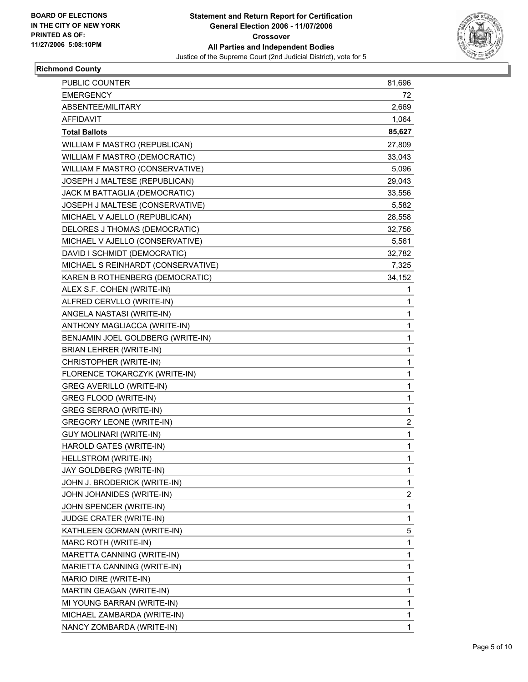

#### **Richmond County**

| PUBLIC COUNTER                     | 81,696                  |
|------------------------------------|-------------------------|
| <b>EMERGENCY</b>                   | 72                      |
| ABSENTEE/MILITARY                  | 2,669                   |
| AFFIDAVIT                          | 1,064                   |
| <b>Total Ballots</b>               | 85,627                  |
| WILLIAM F MASTRO (REPUBLICAN)      | 27,809                  |
| WILLIAM F MASTRO (DEMOCRATIC)      | 33,043                  |
| WILLIAM F MASTRO (CONSERVATIVE)    | 5,096                   |
| JOSEPH J MALTESE (REPUBLICAN)      | 29,043                  |
| JACK M BATTAGLIA (DEMOCRATIC)      | 33,556                  |
| JOSEPH J MALTESE (CONSERVATIVE)    | 5,582                   |
| MICHAEL V AJELLO (REPUBLICAN)      | 28,558                  |
| DELORES J THOMAS (DEMOCRATIC)      | 32,756                  |
| MICHAEL V AJELLO (CONSERVATIVE)    | 5,561                   |
| DAVID I SCHMIDT (DEMOCRATIC)       | 32,782                  |
| MICHAEL S REINHARDT (CONSERVATIVE) | 7,325                   |
| KAREN B ROTHENBERG (DEMOCRATIC)    | 34,152                  |
| ALEX S.F. COHEN (WRITE-IN)         | 1                       |
| ALFRED CERVLLO (WRITE-IN)          | 1                       |
| ANGELA NASTASI (WRITE-IN)          | 1                       |
| ANTHONY MAGLIACCA (WRITE-IN)       | 1                       |
| BENJAMIN JOEL GOLDBERG (WRITE-IN)  | 1                       |
| BRIAN LEHRER (WRITE-IN)            | 1                       |
| CHRISTOPHER (WRITE-IN)             | 1                       |
| FLORENCE TOKARCZYK (WRITE-IN)      | 1                       |
| GREG AVERILLO (WRITE-IN)           | 1                       |
| GREG FLOOD (WRITE-IN)              | 1                       |
| <b>GREG SERRAO (WRITE-IN)</b>      | 1                       |
| <b>GREGORY LEONE (WRITE-IN)</b>    | $\overline{\mathbf{c}}$ |
| <b>GUY MOLINARI (WRITE-IN)</b>     | 1                       |
| HAROLD GATES (WRITE-IN)            | 1                       |
| HELLSTROM (WRITE-IN)               | 1                       |
| JAY GOLDBERG (WRITE-IN)            | 1                       |
| JOHN J. BRODERICK (WRITE-IN)       | 1                       |
| JOHN JOHANIDES (WRITE-IN)          | $\overline{\mathbf{c}}$ |
| JOHN SPENCER (WRITE-IN)            | 1                       |
| JUDGE CRATER (WRITE-IN)            | 1                       |
| KATHLEEN GORMAN (WRITE-IN)         | 5                       |
| MARC ROTH (WRITE-IN)               | 1                       |
| MARETTA CANNING (WRITE-IN)         | 1                       |
| MARIETTA CANNING (WRITE-IN)        | 1                       |
| MARIO DIRE (WRITE-IN)              | 1                       |
| MARTIN GEAGAN (WRITE-IN)           | 1                       |
| MI YOUNG BARRAN (WRITE-IN)         | 1                       |
| MICHAEL ZAMBARDA (WRITE-IN)        | 1                       |
| NANCY ZOMBARDA (WRITE-IN)          | 1                       |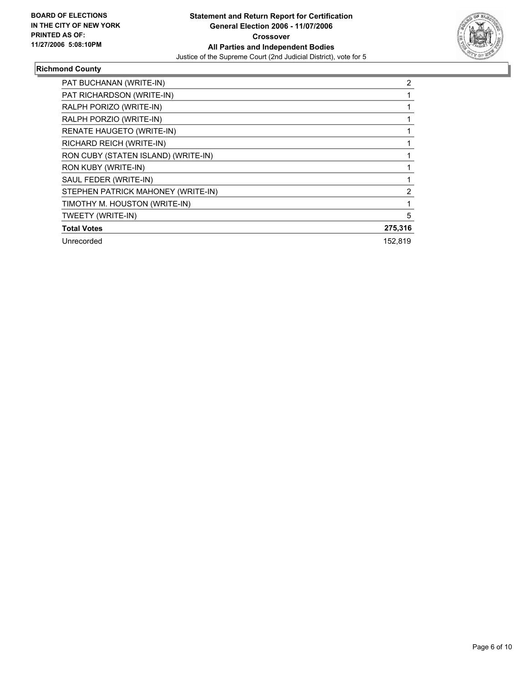

# **Richmond County**

| PAT BUCHANAN (WRITE-IN)             | 2       |
|-------------------------------------|---------|
| PAT RICHARDSON (WRITE-IN)           |         |
| RALPH PORIZO (WRITE-IN)             |         |
| RALPH PORZIO (WRITE-IN)             |         |
| RENATE HAUGETO (WRITE-IN)           |         |
| RICHARD REICH (WRITE-IN)            |         |
| RON CUBY (STATEN ISLAND) (WRITE-IN) |         |
| RON KUBY (WRITE-IN)                 |         |
| SAUL FEDER (WRITE-IN)               |         |
| STEPHEN PATRICK MAHONEY (WRITE-IN)  |         |
| TIMOTHY M. HOUSTON (WRITE-IN)       |         |
| TWEETY (WRITE-IN)                   | 5       |
| <b>Total Votes</b>                  | 275,316 |
| Unrecorded                          | 152.819 |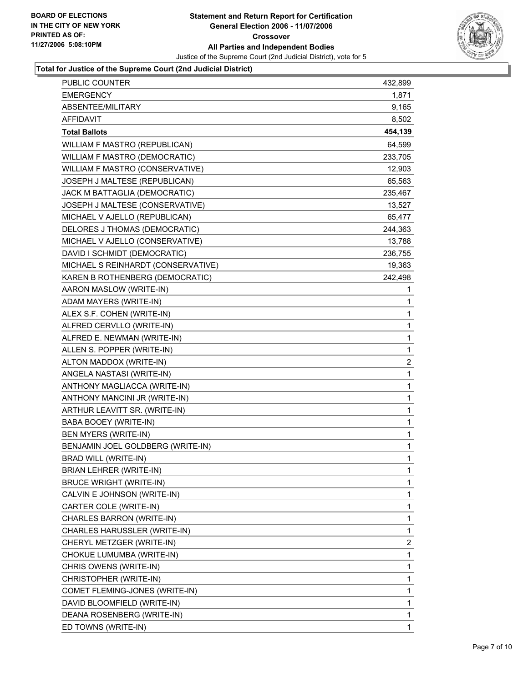

| PUBLIC COUNTER                     | 432,899                 |
|------------------------------------|-------------------------|
| <b>EMERGENCY</b>                   | 1,871                   |
| ABSENTEE/MILITARY                  | 9,165                   |
| <b>AFFIDAVIT</b>                   | 8,502                   |
| <b>Total Ballots</b>               | 454,139                 |
| WILLIAM F MASTRO (REPUBLICAN)      | 64,599                  |
| WILLIAM F MASTRO (DEMOCRATIC)      | 233,705                 |
| WILLIAM F MASTRO (CONSERVATIVE)    | 12,903                  |
| JOSEPH J MALTESE (REPUBLICAN)      | 65,563                  |
| JACK M BATTAGLIA (DEMOCRATIC)      | 235,467                 |
| JOSEPH J MALTESE (CONSERVATIVE)    | 13,527                  |
| MICHAEL V AJELLO (REPUBLICAN)      | 65,477                  |
| DELORES J THOMAS (DEMOCRATIC)      | 244,363                 |
| MICHAEL V AJELLO (CONSERVATIVE)    | 13,788                  |
| DAVID I SCHMIDT (DEMOCRATIC)       | 236,755                 |
| MICHAEL S REINHARDT (CONSERVATIVE) | 19,363                  |
| KAREN B ROTHENBERG (DEMOCRATIC)    | 242,498                 |
| AARON MASLOW (WRITE-IN)            | 1                       |
| ADAM MAYERS (WRITE-IN)             | 1                       |
| ALEX S.F. COHEN (WRITE-IN)         | 1                       |
| ALFRED CERVLLO (WRITE-IN)          | 1                       |
| ALFRED E. NEWMAN (WRITE-IN)        | 1                       |
| ALLEN S. POPPER (WRITE-IN)         | 1                       |
| ALTON MADDOX (WRITE-IN)            | $\overline{\mathbf{c}}$ |
| ANGELA NASTASI (WRITE-IN)          | $\mathbf{1}$            |
| ANTHONY MAGLIACCA (WRITE-IN)       | 1                       |
| ANTHONY MANCINI JR (WRITE-IN)      | 1                       |
| ARTHUR LEAVITT SR. (WRITE-IN)      | 1                       |
| <b>BABA BOOEY (WRITE-IN)</b>       | 1                       |
| BEN MYERS (WRITE-IN)               | 1                       |
| BENJAMIN JOEL GOLDBERG (WRITE-IN)  | 1                       |
| <b>BRAD WILL (WRITE-IN)</b>        | 1                       |
| <b>BRIAN LEHRER (WRITE-IN)</b>     | 1                       |
| <b>BRUCE WRIGHT (WRITE-IN)</b>     | 1                       |
| CALVIN E JOHNSON (WRITE-IN)        | 1                       |
| CARTER COLE (WRITE-IN)             | 1                       |
| CHARLES BARRON (WRITE-IN)          | 1                       |
| CHARLES HARUSSLER (WRITE-IN)       | 1                       |
| CHERYL METZGER (WRITE-IN)          | $\overline{\mathbf{c}}$ |
| CHOKUE LUMUMBA (WRITE-IN)          | 1                       |
| CHRIS OWENS (WRITE-IN)             | 1                       |
| CHRISTOPHER (WRITE-IN)             | 1                       |
| COMET FLEMING-JONES (WRITE-IN)     | 1                       |
| DAVID BLOOMFIELD (WRITE-IN)        | 1                       |
| DEANA ROSENBERG (WRITE-IN)         | $\mathbf{1}$            |
| ED TOWNS (WRITE-IN)                | 1                       |
|                                    |                         |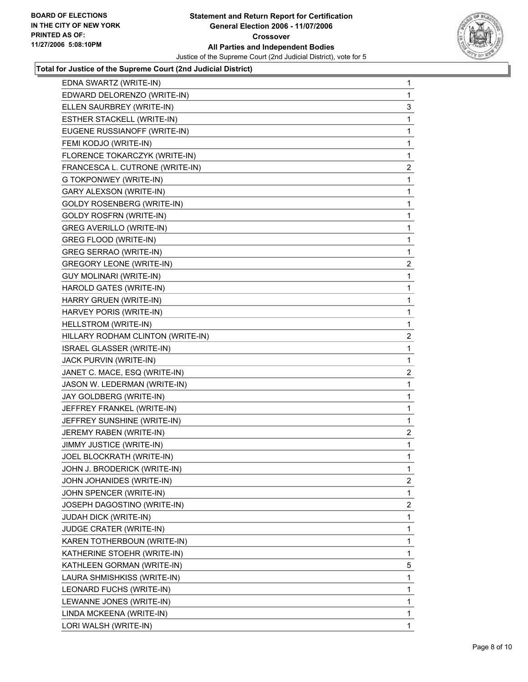

| EDNA SWARTZ (WRITE-IN)            | $\mathbf 1$             |
|-----------------------------------|-------------------------|
| EDWARD DELORENZO (WRITE-IN)       | 1                       |
| ELLEN SAURBREY (WRITE-IN)         | 3                       |
| ESTHER STACKELL (WRITE-IN)        | 1                       |
| EUGENE RUSSIANOFF (WRITE-IN)      | 1                       |
| FEMI KODJO (WRITE-IN)             | 1                       |
| FLORENCE TOKARCZYK (WRITE-IN)     | $\mathbf{1}$            |
| FRANCESCA L. CUTRONE (WRITE-IN)   | $\overline{\mathbf{c}}$ |
| G TOKPONWEY (WRITE-IN)            | 1                       |
| GARY ALEXSON (WRITE-IN)           | 1                       |
| <b>GOLDY ROSENBERG (WRITE-IN)</b> | 1                       |
| <b>GOLDY ROSFRN (WRITE-IN)</b>    | 1                       |
| <b>GREG AVERILLO (WRITE-IN)</b>   | 1                       |
| GREG FLOOD (WRITE-IN)             | 1                       |
| <b>GREG SERRAO (WRITE-IN)</b>     | 1                       |
| <b>GREGORY LEONE (WRITE-IN)</b>   | $\overline{c}$          |
| <b>GUY MOLINARI (WRITE-IN)</b>    | $\mathbf{1}$            |
| HAROLD GATES (WRITE-IN)           | 1                       |
| HARRY GRUEN (WRITE-IN)            | 1                       |
| HARVEY PORIS (WRITE-IN)           | 1                       |
| HELLSTROM (WRITE-IN)              | 1                       |
| HILLARY RODHAM CLINTON (WRITE-IN) | $\overline{2}$          |
| ISRAEL GLASSER (WRITE-IN)         | $\mathbf{1}$            |
| JACK PURVIN (WRITE-IN)            | 1                       |
| JANET C. MACE, ESQ (WRITE-IN)     | $\overline{\mathbf{c}}$ |
| JASON W. LEDERMAN (WRITE-IN)      | 1                       |
| JAY GOLDBERG (WRITE-IN)           | 1                       |
| JEFFREY FRANKEL (WRITE-IN)        | 1                       |
| JEFFREY SUNSHINE (WRITE-IN)       | $\mathbf{1}$            |
| JEREMY RABEN (WRITE-IN)           | $\overline{\mathbf{c}}$ |
| JIMMY JUSTICE (WRITE-IN)          | 1                       |
| JOEL BLOCKRATH (WRITE-IN)         | 1                       |
| JOHN J. BRODERICK (WRITE-IN)      | $\mathbf{1}$            |
| JOHN JOHANIDES (WRITE-IN)         | $\overline{\mathbf{c}}$ |
| JOHN SPENCER (WRITE-IN)           | $\mathbf{1}$            |
| JOSEPH DAGOSTINO (WRITE-IN)       |                         |
|                                   | $\overline{\mathbf{c}}$ |
| JUDAH DICK (WRITE-IN)             | 1                       |
| JUDGE CRATER (WRITE-IN)           | 1                       |
| KAREN TOTHERBOUN (WRITE-IN)       | 1                       |
| KATHERINE STOEHR (WRITE-IN)       | $\mathbf{1}$            |
| KATHLEEN GORMAN (WRITE-IN)        | 5                       |
| LAURA SHMISHKISS (WRITE-IN)       | 1                       |
| LEONARD FUCHS (WRITE-IN)          | 1                       |
| LEWANNE JONES (WRITE-IN)          | $\mathbf{1}$            |
| LINDA MCKEENA (WRITE-IN)          | 1                       |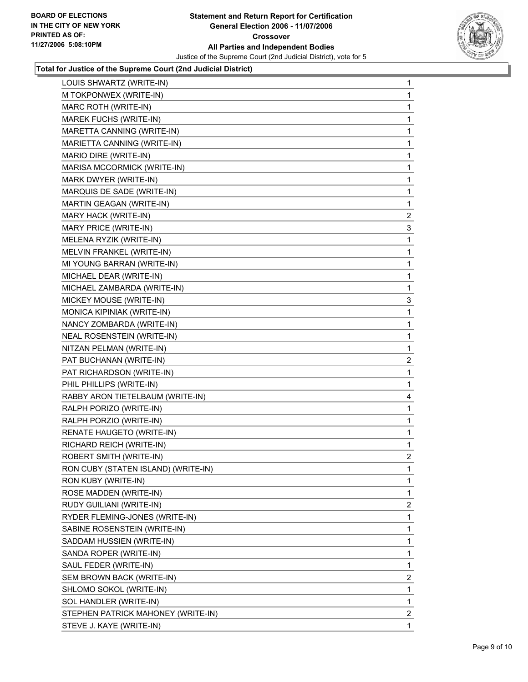

| LOUIS SHWARTZ (WRITE-IN)            | $\mathbf{1}$            |
|-------------------------------------|-------------------------|
| M TOKPONWEX (WRITE-IN)              | 1                       |
| MARC ROTH (WRITE-IN)                | 1                       |
| MAREK FUCHS (WRITE-IN)              | 1                       |
| MARETTA CANNING (WRITE-IN)          | 1                       |
| MARIETTA CANNING (WRITE-IN)         | 1                       |
| MARIO DIRE (WRITE-IN)               | 1                       |
| MARISA MCCORMICK (WRITE-IN)         | 1                       |
| MARK DWYER (WRITE-IN)               | 1                       |
| MARQUIS DE SADE (WRITE-IN)          | 1                       |
| MARTIN GEAGAN (WRITE-IN)            | 1                       |
| MARY HACK (WRITE-IN)                | $\overline{\mathbf{c}}$ |
| MARY PRICE (WRITE-IN)               | 3                       |
| MELENA RYZIK (WRITE-IN)             | 1                       |
| MELVIN FRANKEL (WRITE-IN)           | 1                       |
| MI YOUNG BARRAN (WRITE-IN)          | 1                       |
| MICHAEL DEAR (WRITE-IN)             | 1                       |
| MICHAEL ZAMBARDA (WRITE-IN)         | 1                       |
| MICKEY MOUSE (WRITE-IN)             | 3                       |
| MONICA KIPINIAK (WRITE-IN)          | 1                       |
| NANCY ZOMBARDA (WRITE-IN)           | 1                       |
| NEAL ROSENSTEIN (WRITE-IN)          | 1                       |
| NITZAN PELMAN (WRITE-IN)            | 1                       |
| PAT BUCHANAN (WRITE-IN)             | $\overline{c}$          |
| PAT RICHARDSON (WRITE-IN)           | 1                       |
| PHIL PHILLIPS (WRITE-IN)            | 1                       |
| RABBY ARON TIETELBAUM (WRITE-IN)    | 4                       |
| RALPH PORIZO (WRITE-IN)             | 1                       |
| RALPH PORZIO (WRITE-IN)             | 1                       |
| RENATE HAUGETO (WRITE-IN)           | 1                       |
| RICHARD REICH (WRITE-IN)            | 1                       |
| ROBERT SMITH (WRITE-IN)             | $\overline{\mathbf{c}}$ |
| RON CUBY (STATEN ISLAND) (WRITE-IN) | 1                       |
| RON KUBY (WRITE-IN)                 | 1                       |
| ROSE MADDEN (WRITE-IN)              | 1                       |
| RUDY GUILIANI (WRITE-IN)            | $\overline{c}$          |
| RYDER FLEMING-JONES (WRITE-IN)      | 1                       |
| SABINE ROSENSTEIN (WRITE-IN)        | 1                       |
| SADDAM HUSSIEN (WRITE-IN)           | 1                       |
| SANDA ROPER (WRITE-IN)              | 1                       |
| SAUL FEDER (WRITE-IN)               | 1                       |
| SEM BROWN BACK (WRITE-IN)           | $\overline{c}$          |
| SHLOMO SOKOL (WRITE-IN)             | 1                       |
| SOL HANDLER (WRITE-IN)              | 1                       |
| STEPHEN PATRICK MAHONEY (WRITE-IN)  | $\overline{\mathbf{c}}$ |
| STEVE J. KAYE (WRITE-IN)            | 1                       |